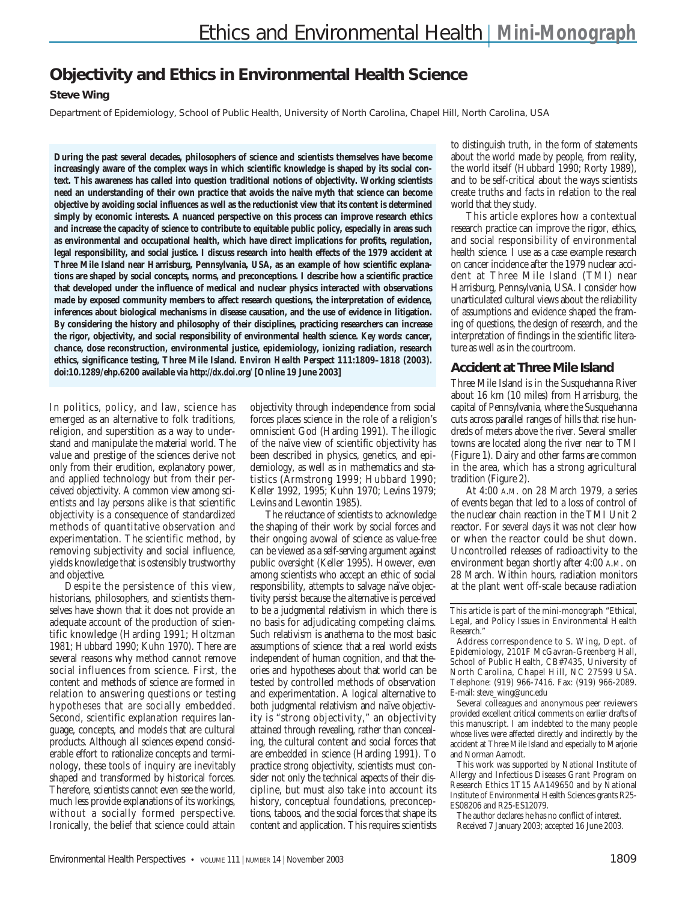# **Objectivity and Ethics in Environmental Health Science**

## *Steve Wing*

Department of Epidemiology, School of Public Health, University of North Carolina, Chapel Hill, North Carolina, USA

**During the past several decades, philosophers of science and scientists themselves have become increasingly aware of the complex ways in which scientific knowledge is shaped by its social context. This awareness has called into question traditional notions of objectivity. Working scientists need an understanding of their own practice that avoids the naïve myth that science can become objective by avoiding social influences as well as the reductionist view that its content is determined simply by economic interests. A nuanced perspective on this process can improve research ethics and increase the capacity of science to contribute to equitable public policy, especially in areas such as environmental and occupational health, which have direct implications for profits, regulation, legal responsibility, and social justice. I discuss research into health effects of the 1979 accident at Three Mile Island near Harrisburg, Pennsylvania, USA, as an example of how scientific explanations are shaped by social concepts, norms, and preconceptions. I describe how a scientific practice that developed under the influence of medical and nuclear physics interacted with observations made by exposed community members to affect research questions, the interpretation of evidence, inferences about biological mechanisms in disease causation, and the use of evidence in litigation. By considering the history and philosophy of their disciplines, practicing researchers can increase the rigor, objectivity, and social responsibility of environmental health science.** *Key words:* **cancer, chance, dose reconstruction, environmental justice, epidemiology, ionizing radiation, research ethics, significance testing, Three Mile Island.** *Environ Health Perspect* **111:1809–1818 (2003). doi:10.1289/ehp.6200 available via** *http://dx.doi.org/* **[Online 19 June 2003]**

In politics, policy, and law, science has emerged as an alternative to folk traditions, religion, and superstition as a way to understand and manipulate the material world. The value and prestige of the sciences derive not only from their erudition, explanatory power, and applied technology but from their perceived objectivity. A common view among scientists and lay persons alike is that scientific objectivity is a consequence of standardized methods of quantitative observation and experimentation. The scientific method, by removing subjectivity and social influence, yields knowledge that is ostensibly trustworthy and objective.

Despite the persistence of this view, historians, philosophers, and scientists themselves have shown that it does not provide an adequate account of the production of scientific knowledge (Harding 1991; Holtzman 1981; Hubbard 1990; Kuhn 1970). There are several reasons why method cannot remove social influences from science. First, the content and methods of science are formed in relation to answering questions or testing hypotheses that are socially embedded. Second, scientific explanation requires language, concepts, and models that are cultural products. Although all sciences expend considerable effort to rationalize concepts and terminology, these tools of inquiry are inevitably shaped and transformed by historical forces. Therefore, scientists cannot even see the world, much less provide explanations of its workings, without a socially formed perspective. Ironically, the belief that science could attain objectivity through independence from social forces places science in the role of a religion's omniscient God (Harding 1991). The illogic of the naïve view of scientific objectivity has been described in physics, genetics, and epidemiology, as well as in mathematics and statistics (Armstrong 1999; Hubbard 1990; Keller 1992, 1995; Kuhn 1970; Levins 1979; Levins and Lewontin 1985).

The reluctance of scientists to acknowledge the shaping of their work by social forces and their ongoing avowal of science as value-free can be viewed as a self-serving argument against public oversight (Keller 1995). However, even among scientists who accept an ethic of social responsibility, attempts to salvage naïve objectivity persist because the alternative is perceived to be a judgmental relativism in which there is no basis for adjudicating competing claims. Such relativism is anathema to the most basic assumptions of science: that a real world exists independent of human cognition, and that theories and hypotheses about that world can be tested by controlled methods of observation and experimentation. A logical alternative to both judgmental relativism and naïve objectivity is "strong objectivity," an objectivity attained through revealing, rather than concealing, the cultural content and social forces that are embedded in science (Harding 1991). To practice strong objectivity, scientists must consider not only the technical aspects of their discipline, but must also take into account its history, conceptual foundations, preconceptions, taboos, and the social forces that shape its content and application. This requires scientists to distinguish truth, in the form of statements about the world made by people, from reality, the world itself (Hubbard 1990; Rorty 1989), and to be self-critical about the ways scientists create truths and facts in relation to the real world that they study.

This article explores how a contextual research practice can improve the rigor, ethics, and social responsibility of environmental health science. I use as a case example research on cancer incidence after the 1979 nuclear accident at Three Mile Island (TMI) near Harrisburg, Pennsylvania, USA. I consider how unarticulated cultural views about the reliability of assumptions and evidence shaped the framing of questions, the design of research, and the interpretation of findings in the scientific literature as well as in the courtroom.

#### **Accident at Three Mile Island**

Three Mile Island is in the Susquehanna River about 16 km (10 miles) from Harrisburg, the capital of Pennsylvania, where the Susquehanna cuts across parallel ranges of hills that rise hundreds of meters above the river. Several smaller towns are located along the river near to TMI (Figure 1). Dairy and other farms are common in the area, which has a strong agricultural tradition (Figure 2).

At 4:00 A.M. on 28 March 1979, a series of events began that led to a loss of control of the nuclear chain reaction in the TMI Unit 2 reactor. For several days it was not clear how or when the reactor could be shut down. Uncontrolled releases of radioactivity to the environment began shortly after 4:00 A.M. on 28 March. Within hours, radiation monitors at the plant went off-scale because radiation

This article is part of the mini-monograph "Ethical, Legal, and Policy Issues in Environmental Health Research."

Address correspondence to S. Wing, Dept. of Epidemiology, 2101F McGavran-Greenberg Hall, School of Public Health, CB#7435, University of North Carolina, Chapel Hill, NC 27599 USA. Telephone: (919) 966-7416. Fax: (919) 966-2089. E-mail: steve\_wing@unc.edu

Several colleagues and anonymous peer reviewers provided excellent critical comments on earlier drafts of this manuscript. I am indebted to the many people whose lives were affected directly and indirectly by the accident at Three Mile Island and especially to Marjorie and Norman Aamodt.

This work was supported by National Institute of Allergy and Infectious Diseases Grant Program on Research Ethics 1T15 AA149650 and by National Institute of Environmental Health Sciences grants R25- ES08206 and R25-ES12079.

The author declares he has no conflict of interest. Received 7 January 2003; accepted 16 June 2003.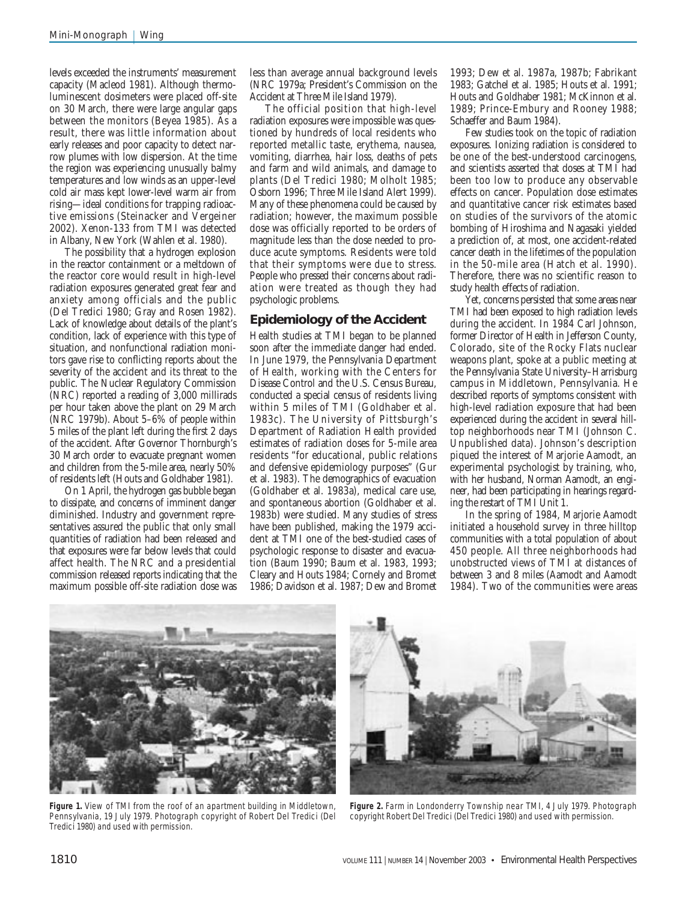levels exceeded the instruments' measurement capacity (Macleod 1981). Although thermoluminescent dosimeters were placed off-site on 30 March, there were large angular gaps between the monitors (Beyea 1985). As a result, there was little information about early releases and poor capacity to detect narrow plumes with low dispersion. At the time the region was experiencing unusually balmy temperatures and low winds as an upper-level cold air mass kept lower-level warm air from rising—ideal conditions for trapping radioactive emissions (Steinacker and Vergeiner 2002). Xenon-133 from TMI was detected in Albany, New York (Wahlen et al. 1980).

The possibility that a hydrogen explosion in the reactor containment or a meltdown of the reactor core would result in high-level radiation exposures generated great fear and anxiety among officials and the public (Del Tredici 1980; Gray and Rosen 1982). Lack of knowledge about details of the plant's condition, lack of experience with this type of situation, and nonfunctional radiation monitors gave rise to conflicting reports about the severity of the accident and its threat to the public. The Nuclear Regulatory Commission (NRC) reported a reading of 3,000 millirads per hour taken above the plant on 29 March (NRC 1979b). About 5–6% of people within 5 miles of the plant left during the first 2 days of the accident. After Governor Thornburgh's 30 March order to evacuate pregnant women and children from the 5-mile area, nearly 50% of residents left (Houts and Goldhaber 1981).

On 1 April, the hydrogen gas bubble began to dissipate, and concerns of imminent danger diminished. Industry and government representatives assured the public that only small quantities of radiation had been released and that exposures were far below levels that could affect health. The NRC and a presidential commission released reports indicating that the maximum possible off-site radiation dose was less than average annual background levels (NRC 1979a; President's Commission on the Accident at Three Mile Island 1979).

The official position that high-level radiation exposures were impossible was questioned by hundreds of local residents who reported metallic taste, erythema, nausea, vomiting, diarrhea, hair loss, deaths of pets and farm and wild animals, and damage to plants (Del Tredici 1980; Molholt 1985; Osborn 1996; Three Mile Island Alert 1999). Many of these phenomena could be caused by radiation; however, the maximum possible dose was officially reported to be orders of magnitude less than the dose needed to produce acute symptoms. Residents were told that their symptoms were due to stress. People who pressed their concerns about radiation were treated as though they had psychologic problems.

### **Epidemiology of the Accident**

Health studies at TMI began to be planned soon after the immediate danger had ended. In June 1979, the Pennsylvania Department of Health, working with the Centers for Disease Control and the U.S. Census Bureau, conducted a special census of residents living within 5 miles of TMI (Goldhaber et al. 1983c). The University of Pittsburgh's Department of Radiation Health provided estimates of radiation doses for 5-mile area residents "for educational, public relations and defensive epidemiology purposes" (Gur et al. 1983). The demographics of evacuation (Goldhaber et al. 1983a), medical care use, and spontaneous abortion (Goldhaber et al. 1983b) were studied. Many studies of stress have been published, making the 1979 accident at TMI one of the best-studied cases of psychologic response to disaster and evacuation (Baum 1990; Baum et al. 1983, 1993; Cleary and Houts 1984; Cornely and Bromet 1986; Davidson et al. 1987; Dew and Bromet

1993; Dew et al. 1987a, 1987b; Fabrikant 1983; Gatchel et al. 1985; Houts et al. 1991; Houts and Goldhaber 1981; McKinnon et al. 1989; Prince-Embury and Rooney 1988; Schaeffer and Baum 1984).

Few studies took on the topic of radiation exposures. Ionizing radiation is considered to be one of the best-understood carcinogens, and scientists asserted that doses at TMI had been too low to produce any observable effects on cancer. Population dose estimates and quantitative cancer risk estimates based on studies of the survivors of the atomic bombing of Hiroshima and Nagasaki yielded a prediction of, at most, one accident-related cancer death in the lifetimes of the population in the 50-mile area (Hatch et al. 1990). Therefore, there was no scientific reason to study health effects of radiation.

Yet, concerns persisted that some areas near TMI had been exposed to high radiation levels during the accident. In 1984 Carl Johnson, former Director of Health in Jefferson County, Colorado, site of the Rocky Flats nuclear weapons plant, spoke at a public meeting at the Pennsylvania State University–Harrisburg campus in Middletown, Pennsylvania. He described reports of symptoms consistent with high-level radiation exposure that had been experienced during the accident in several hilltop neighborhoods near TMI (Johnson C. Unpublished data). Johnson's description piqued the interest of Marjorie Aamodt, an experimental psychologist by training, who, with her husband, Norman Aamodt, an engineer, had been participating in hearings regarding the restart of TMI Unit 1.

In the spring of 1984, Marjorie Aamodt initiated a household survey in three hilltop communities with a total population of about 450 people. All three neighborhoods had unobstructed views of TMI at distances of between 3 and 8 miles (Aamodt and Aamodt 1984). Two of the communities were areas



**Figure 1.** View of TMI from the roof of an apartment building in Middletown. Pennsylvania, 19 July 1979. Photograph copyright of Robert Del Tredici (Del Tredici 1980) and used with permission.



**Figure 2.** Farm in Londonderry Township near TMI, 4 July 1979. Photograph copyright Robert Del Tredici (Del Tredici 1980) and used with permission.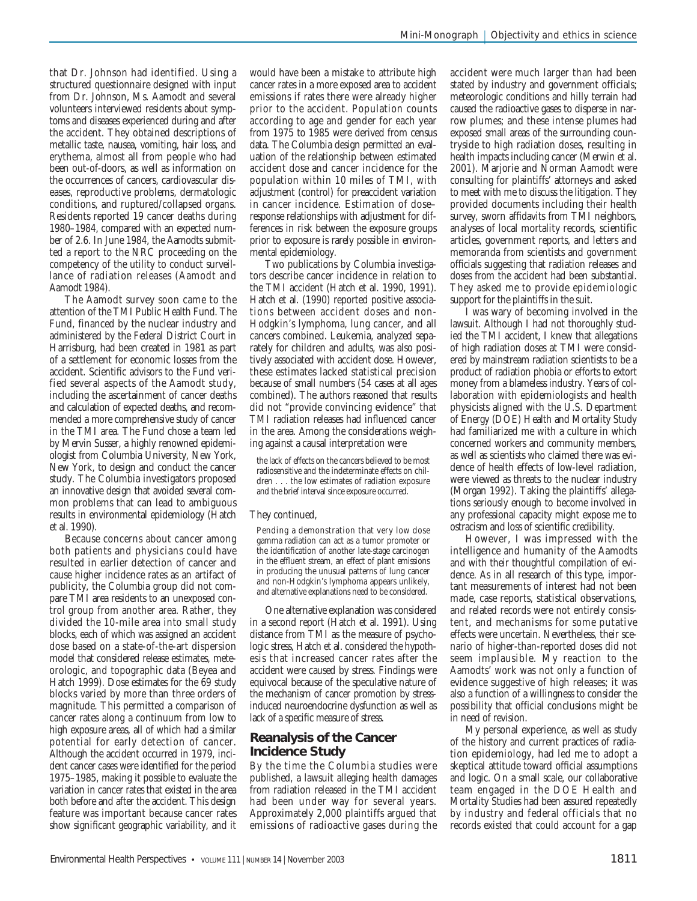that Dr. Johnson had identified. Using a structured questionnaire designed with input from Dr. Johnson, Ms. Aamodt and several volunteers interviewed residents about symptoms and diseases experienced during and after the accident. They obtained descriptions of metallic taste, nausea, vomiting, hair loss, and erythema, almost all from people who had been out-of-doors, as well as information on the occurrences of cancers, cardiovascular diseases, reproductive problems, dermatologic conditions, and ruptured/collapsed organs. Residents reported 19 cancer deaths during 1980–1984, compared with an expected number of 2.6. In June 1984, the Aamodts submitted a report to the NRC proceeding on the competency of the utility to conduct surveillance of radiation releases (Aamodt and Aamodt 1984).

The Aamodt survey soon came to the attention of the TMI Public Health Fund. The Fund, financed by the nuclear industry and administered by the Federal District Court in Harrisburg, had been created in 1981 as part of a settlement for economic losses from the accident. Scientific advisors to the Fund verified several aspects of the Aamodt study, including the ascertainment of cancer deaths and calculation of expected deaths, and recommended a more comprehensive study of cancer in the TMI area. The Fund chose a team led by Mervin Susser, a highly renowned epidemiologist from Columbia University, New York, New York, to design and conduct the cancer study. The Columbia investigators proposed an innovative design that avoided several common problems that can lead to ambiguous results in environmental epidemiology (Hatch et al. 1990).

Because concerns about cancer among both patients and physicians could have resulted in earlier detection of cancer and cause higher incidence rates as an artifact of publicity, the Columbia group did not compare TMI area residents to an unexposed control group from another area. Rather, they divided the 10-mile area into small study blocks, each of which was assigned an accident dose based on a state-of-the-art dispersion model that considered release estimates, meteorologic, and topographic data (Beyea and Hatch 1999). Dose estimates for the 69 study blocks varied by more than three orders of magnitude. This permitted a comparison of cancer rates along a continuum from low to high exposure areas, all of which had a similar potential for early detection of cancer. Although the accident occurred in 1979, incident cancer cases were identified for the period 1975–1985, making it possible to evaluate the variation in cancer rates that existed in the area both before and after the accident. This design feature was important because cancer rates show significant geographic variability, and it

would have been a mistake to attribute high cancer rates in a more exposed area to accident emissions if rates there were already higher prior to the accident. Population counts according to age and gender for each year from 1975 to 1985 were derived from census data. The Columbia design permitted an evaluation of the relationship between estimated accident dose and cancer incidence for the population within 10 miles of TMI, with adjustment (control) for preaccident variation in cancer incidence. Estimation of dose– response relationships with adjustment for differences in risk between the exposure groups prior to exposure is rarely possible in environmental epidemiology.

Two publications by Columbia investigators describe cancer incidence in relation to the TMI accident (Hatch et al. 1990, 1991). Hatch et al. (1990) reported positive associations between accident doses and non-Hodgkin's lymphoma, lung cancer, and all cancers combined. Leukemia, analyzed separately for children and adults, was also positively associated with accident dose. However, these estimates lacked statistical precision because of small numbers (54 cases at all ages combined). The authors reasoned that results did not "provide convincing evidence" that TMI radiation releases had influenced cancer in the area. Among the considerations weighing against a causal interpretation were

the lack of effects on the cancers believed to be most radiosensitive and the indeterminate effects on children . . . the low estimates of radiation exposure and the brief interval since exposure occurred.

#### They continued,

Pending a demonstration that very low dose gamma radiation can act as a tumor promoter or the identification of another late-stage carcinogen in the effluent stream, an effect of plant emissions in producing the unusual patterns of lung cancer and non-Hodgkin's lymphoma appears unlikely, and alternative explanations need to be considered.

One alternative explanation was considered in a second report (Hatch et al. 1991). Using distance from TMI as the measure of psychologic stress, Hatch et al. considered the hypothesis that increased cancer rates after the accident were caused by stress. Findings were equivocal because of the speculative nature of the mechanism of cancer promotion by stressinduced neuroendocrine dysfunction as well as lack of a specific measure of stress.

#### **Reanalysis of the Cancer Incidence Study**

By the time the Columbia studies were published, a lawsuit alleging health damages from radiation released in the TMI accident had been under way for several years. Approximately 2,000 plaintiffs argued that emissions of radioactive gases during the

accident were much larger than had been stated by industry and government officials; meteorologic conditions and hilly terrain had caused the radioactive gases to disperse in narrow plumes; and these intense plumes had exposed small areas of the surrounding countryside to high radiation doses, resulting in health impacts including cancer (Merwin et al. 2001). Marjorie and Norman Aamodt were consulting for plaintiffs' attorneys and asked to meet with me to discuss the litigation. They provided documents including their health survey, sworn affidavits from TMI neighbors, analyses of local mortality records, scientific articles, government reports, and letters and memoranda from scientists and government officials suggesting that radiation releases and doses from the accident had been substantial. They asked me to provide epidemiologic support for the plaintiffs in the suit.

I was wary of becoming involved in the lawsuit. Although I had not thoroughly studied the TMI accident, I knew that allegations of high radiation doses at TMI were considered by mainstream radiation scientists to be a product of radiation phobia or efforts to extort money from a blameless industry. Years of collaboration with epidemiologists and health physicists aligned with the U.S. Department of Energy (DOE) Health and Mortality Study had familiarized me with a culture in which concerned workers and community members, as well as scientists who claimed there was evidence of health effects of low-level radiation, were viewed as threats to the nuclear industry (Morgan 1992). Taking the plaintiffs' allegations seriously enough to become involved in any professional capacity might expose me to ostracism and loss of scientific credibility.

However, I was impressed with the intelligence and humanity of the Aamodts and with their thoughtful compilation of evidence. As in all research of this type, important measurements of interest had not been made, case reports, statistical observations, and related records were not entirely consistent, and mechanisms for some putative effects were uncertain. Nevertheless, their scenario of higher-than-reported doses did not seem implausible. My reaction to the Aamodts' work was not only a function of evidence suggestive of high releases; it was also a function of a willingness to consider the possibility that official conclusions might be in need of revision.

My personal experience, as well as study of the history and current practices of radiation epidemiology, had led me to adopt a skeptical attitude toward official assumptions and logic. On a small scale, our collaborative team engaged in the DOE Health and Mortality Studies had been assured repeatedly by industry and federal officials that no records existed that could account for a gap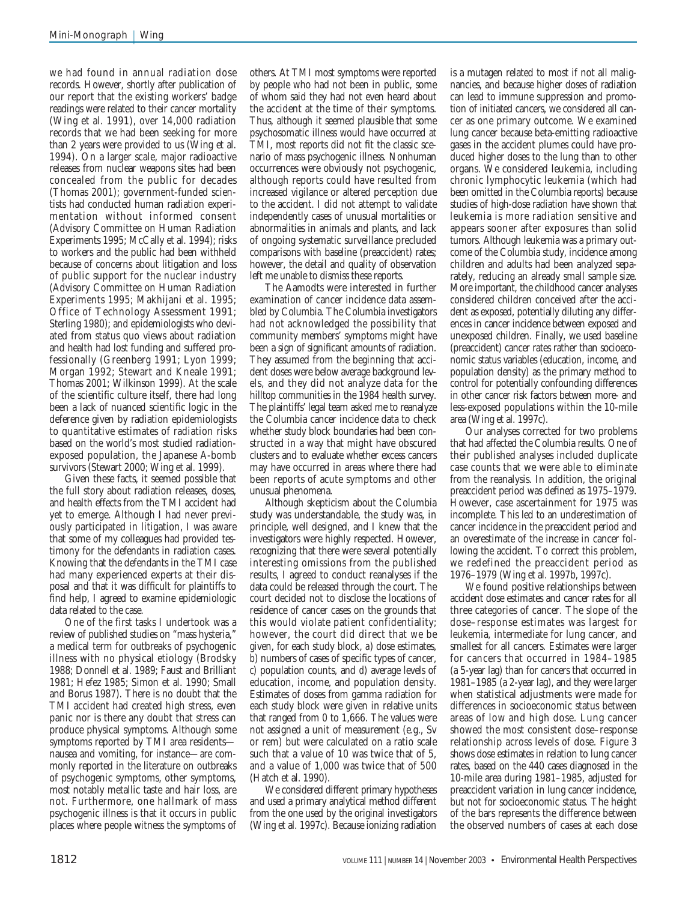we had found in annual radiation dose records. However, shortly after publication of our report that the existing workers' badge readings were related to their cancer mortality (Wing et al. 1991), over 14,000 radiation records that we had been seeking for more than 2 years were provided to us (Wing et al. 1994). On a larger scale, major radioactive releases from nuclear weapons sites had been concealed from the public for decades (Thomas 2001); government-funded scientists had conducted human radiation experimentation without informed consent (Advisory Committee on Human Radiation Experiments 1995; McCally et al. 1994); risks to workers and the public had been withheld because of concerns about litigation and loss of public support for the nuclear industry (Advisory Committee on Human Radiation Experiments 1995; Makhijani et al. 1995; Office of Technology Assessment 1991; Sterling 1980); and epidemiologists who deviated from status quo views about radiation and health had lost funding and suffered professionally (Greenberg 1991; Lyon 1999; Morgan 1992; Stewart and Kneale 1991; Thomas 2001; Wilkinson 1999). At the scale of the scientific culture itself, there had long been a lack of nuanced scientific logic in the deference given by radiation epidemiologists to quantitative estimates of radiation risks based on the world's most studied radiationexposed population, the Japanese A-bomb survivors (Stewart 2000; Wing et al. 1999).

Given these facts, it seemed possible that the full story about radiation releases, doses, and health effects from the TMI accident had yet to emerge. Although I had never previously participated in litigation, I was aware that some of my colleagues had provided testimony for the defendants in radiation cases. Knowing that the defendants in the TMI case had many experienced experts at their disposal and that it was difficult for plaintiffs to find help, I agreed to examine epidemiologic data related to the case.

One of the first tasks I undertook was a review of published studies on "mass hysteria," a medical term for outbreaks of psychogenic illness with no physical etiology (Brodsky 1988; Donnell et al. 1989; Faust and Brilliant 1981; Hefez 1985; Simon et al. 1990; Small and Borus 1987). There is no doubt that the TMI accident had created high stress, even panic nor is there any doubt that stress can produce physical symptoms. Although some symptoms reported by TMI area residents nausea and vomiting, for instance—are commonly reported in the literature on outbreaks of psychogenic symptoms, other symptoms, most notably metallic taste and hair loss, are not. Furthermore, one hallmark of mass psychogenic illness is that it occurs in public places where people witness the symptoms of others. At TMI most symptoms were reported by people who had not been in public, some of whom said they had not even heard about the accident at the time of their symptoms. Thus, although it seemed plausible that some psychosomatic illness would have occurred at TMI, most reports did not fit the classic scenario of mass psychogenic illness. Nonhuman occurrences were obviously not psychogenic, although reports could have resulted from increased vigilance or altered perception due to the accident. I did not attempt to validate independently cases of unusual mortalities or abnormalities in animals and plants, and lack of ongoing systematic surveillance precluded comparisons with baseline (preaccident) rates; however, the detail and quality of observation left me unable to dismiss these reports.

The Aamodts were interested in further examination of cancer incidence data assembled by Columbia. The Columbia investigators had not acknowledged the possibility that community members' symptoms might have been a sign of significant amounts of radiation. They assumed from the beginning that accident doses were below average background levels, and they did not analyze data for the hilltop communities in the 1984 health survey. The plaintiffs' legal team asked me to reanalyze the Columbia cancer incidence data to check whether study block boundaries had been constructed in a way that might have obscured clusters and to evaluate whether excess cancers may have occurred in areas where there had been reports of acute symptoms and other unusual phenomena.

Although skepticism about the Columbia study was understandable, the study was, in principle, well designed, and I knew that the investigators were highly respected. However, recognizing that there were several potentially interesting omissions from the published results, I agreed to conduct reanalyses if the data could be released through the court. The court decided not to disclose the locations of residence of cancer cases on the grounds that this would violate patient confidentiality; however, the court did direct that we be given, for each study block, *a*) dose estimates, *b*) numbers of cases of specific types of cancer, *c*) population counts, and *d*) average levels of education, income, and population density. Estimates of doses from gamma radiation for each study block were given in relative units that ranged from 0 to 1,666. The values were not assigned a unit of measurement (e.g., Sv or rem) but were calculated on a ratio scale such that a value of 10 was twice that of 5, and a value of 1,000 was twice that of 500 (Hatch et al. 1990).

We considered different primary hypotheses and used a primary analytical method different from the one used by the original investigators (Wing et al. 1997c). Because ionizing radiation is a mutagen related to most if not all malignancies, and because higher doses of radiation can lead to immune suppression and promotion of initiated cancers, we considered all cancer as one primary outcome. We examined lung cancer because beta-emitting radioactive gases in the accident plumes could have produced higher doses to the lung than to other organs. We considered leukemia, including chronic lymphocytic leukemia (which had been omitted in the Columbia reports) because studies of high-dose radiation have shown that leukemia is more radiation sensitive and appears sooner after exposures than solid tumors. Although leukemia was a primary outcome of the Columbia study, incidence among children and adults had been analyzed separately, reducing an already small sample size. More important, the childhood cancer analyses considered children conceived after the accident as exposed, potentially diluting any differences in cancer incidence between exposed and unexposed children. Finally, we used baseline (preaccident) cancer rates rather than socioeconomic status variables (education, income, and population density) as the primary method to control for potentially confounding differences in other cancer risk factors between more- and less-exposed populations within the 10-mile area (Wing et al. 1997c).

Our analyses corrected for two problems that had affected the Columbia results. One of their published analyses included duplicate case counts that we were able to eliminate from the reanalysis. In addition, the original preaccident period was defined as 1975–1979. However, case ascertainment for 1975 was incomplete. This led to an underestimation of cancer incidence in the preaccident period and an overestimate of the increase in cancer following the accident. To correct this problem, we redefined the preaccident period as 1976–1979 (Wing et al. 1997b, 1997c).

We found positive relationships between accident dose estimates and cancer rates for all three categories of cancer. The slope of the dose–response estimates was largest for leukemia, intermediate for lung cancer, and smallest for all cancers. Estimates were larger for cancers that occurred in 1984–1985 (a 5-year lag) than for cancers that occurred in 1981–1985 (a 2-year lag), and they were larger when statistical adjustments were made for differences in socioeconomic status between areas of low and high dose. Lung cancer showed the most consistent dose–response relationship across levels of dose. Figure 3 shows dose estimates in relation to lung cancer rates, based on the 440 cases diagnosed in the 10-mile area during 1981–1985, adjusted for preaccident variation in lung cancer incidence, but not for socioeconomic status. The height of the bars represents the difference between the observed numbers of cases at each dose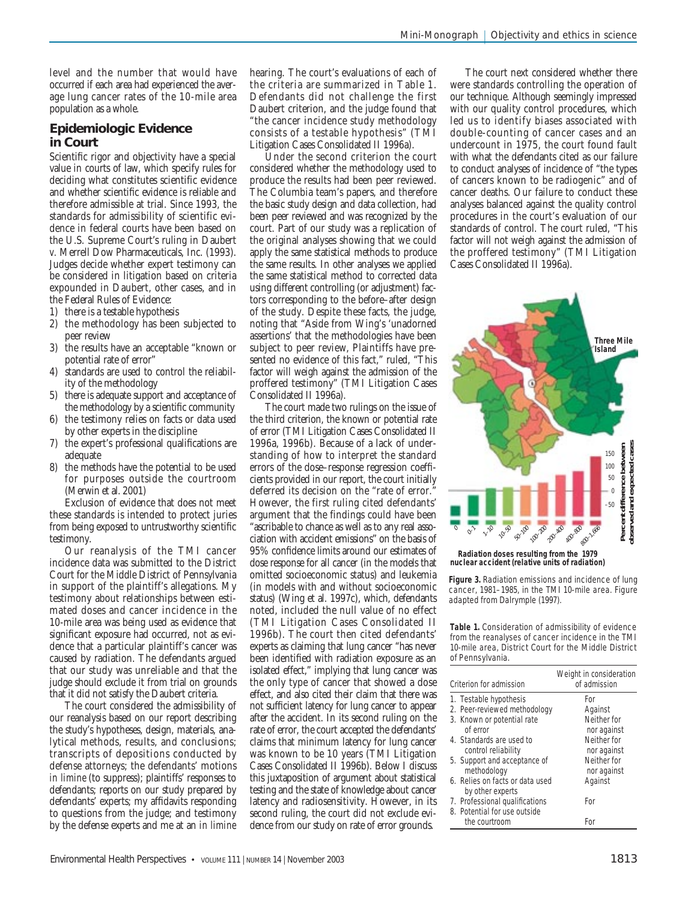level and the number that would have occurred if each area had experienced the average lung cancer rates of the 10-mile area population as a whole.

### **Epidemiologic Evidence in Court**

Scientific rigor and objectivity have a special value in courts of law, which specify rules for deciding what constitutes scientific evidence and whether scientific evidence is reliable and therefore admissible at trial. Since 1993, the standards for admissibility of scientific evidence in federal courts have been based on the U.S. Supreme Court's ruling in Daubert *v.* Merrell Dow Pharmaceuticals, Inc. (1993). Judges decide whether expert testimony can be considered in litigation based on criteria expounded in Daubert, other cases, and in the Federal Rules of Evidence:

- 1) there is a testable hypothesis
- 2) the methodology has been subjected to peer review
- 3) the results have an acceptable "known or potential rate of error"
- 4) standards are used to control the reliability of the methodology
- 5) there is adequate support and acceptance of the methodology by a scientific community
- 6) the testimony relies on facts or data used by other experts in the discipline
- 7) the expert's professional qualifications are adequate
- 8) the methods have the potential to be used for purposes outside the courtroom (Merwin et al. 2001)

Exclusion of evidence that does not meet these standards is intended to protect juries from being exposed to untrustworthy scientific testimony.

Our reanalysis of the TMI cancer incidence data was submitted to the District Court for the Middle District of Pennsylvania in support of the plaintiff's allegations. My testimony about relationships between estimated doses and cancer incidence in the 10-mile area was being used as evidence that significant exposure had occurred, not as evidence that a particular plaintiff's cancer was caused by radiation. The defendants argued that our study was unreliable and that the judge should exclude it from trial on grounds that it did not satisfy the Daubert criteria.

The court considered the admissibility of our reanalysis based on our report describing the study's hypotheses, design, materials, analytical methods, results, and conclusions; transcripts of depositions conducted by defense attorneys; the defendants' motions *in limine* (to suppress); plaintiffs' responses to defendants; reports on our study prepared by defendants' experts; my affidavits responding to questions from the judge; and testimony by the defense experts and me at an *in limine*

hearing. The court's evaluations of each of the criteria are summarized in Table 1. Defendants did not challenge the first Daubert criterion, and the judge found that "the cancer incidence study methodology consists of a testable hypothesis" (TMI Litigation Cases Consolidated II 1996a).

Under the second criterion the court considered whether the methodology used to produce the results had been peer reviewed. The Columbia team's papers, and therefore the basic study design and data collection, had been peer reviewed and was recognized by the court. Part of our study was a replication of the original analyses showing that we could apply the same statistical methods to produce the same results. In other analyses we applied the same statistical method to corrected data using different controlling (or adjustment) factors corresponding to the before–after design of the study. Despite these facts, the judge, noting that "Aside from Wing's 'unadorned assertions' that the methodologies have been subject to peer review, Plaintiffs have presented no evidence of this fact," ruled, "This factor will weigh against the admission of the proffered testimony" (TMI Litigation Cases Consolidated II 1996a).

The court made two rulings on the issue of the third criterion, the known or potential rate of error (TMI Litigation Cases Consolidated II 1996a, 1996b). Because of a lack of understanding of how to interpret the standard errors of the dose–response regression coefficients provided in our report, the court initially deferred its decision on the "rate of error." However, the first ruling cited defendants' argument that the findings could have been "ascribable to chance as well as to any real association with accident emissions" on the basis of 95% confidence limits around our estimates of dose response for all cancer (in the models that omitted socioeconomic status) and leukemia (in models with and without socioeconomic status) (Wing et al. 1997c), which, defendants noted, included the null value of no effect (TMI Litigation Cases Consolidated II 1996b). The court then cited defendants' experts as claiming that lung cancer "has never been identified with radiation exposure as an isolated effect," implying that lung cancer was the only type of cancer that showed a dose effect, and also cited their claim that there was not sufficient latency for lung cancer to appear after the accident. In its second ruling on the rate of error, the court accepted the defendants' claims that minimum latency for lung cancer was known to be 10 years (TMI Litigation Cases Consolidated II 1996b). Below I discuss this juxtaposition of argument about statistical testing and the state of knowledge about cancer latency and radiosensitivity. However, in its second ruling, the court did not exclude evidence from our study on rate of error grounds.

The court next considered whether there were standards controlling the operation of our technique. Although seemingly impressed with our quality control procedures, which led us to identify biases associated with double-counting of cancer cases and an undercount in 1975, the court found fault with what the defendants cited as our failure to conduct analyses of incidence of "the types of cancers known to be radiogenic" and of cancer deaths. Our failure to conduct these analyses balanced against the quality control procedures in the court's evaluation of our standards of control. The court ruled, "This factor will not weigh against the admission of the proffered testimony" (TMI Litigation Cases Consolidated II 1996a).



**Radiation doses resulting from the 1979 nuclear accident (relative units of radiation)**

**Figure 3.** Radiation emissions and incidence of lung cancer, 1981–1985, in the TMI 10-mile area. Figure adapted from Dalrymple (1997).

**Table 1.** Consideration of admissibility of evidence from the reanalyses of cancer incidence in the TMI 10-mile area, District Court for the Middle District of Pennsylvania.

| Criterion for admission                             | Weight in consideration<br>of admission |
|-----------------------------------------------------|-----------------------------------------|
| 1. Testable hypothesis                              | For                                     |
| 2. Peer-reviewed methodology                        | Against                                 |
| 3. Known or potential rate<br>of error              | Neither for<br>nor against              |
| 4. Standards are used to<br>control reliability     | Neither for<br>nor against              |
| 5. Support and acceptance of<br>methodology         | Neither for<br>nor against              |
| 6. Relies on facts or data used<br>by other experts | Against                                 |
| 7. Professional qualifications                      | For                                     |
| 8. Potential for use outside                        |                                         |
| the courtroom                                       | For                                     |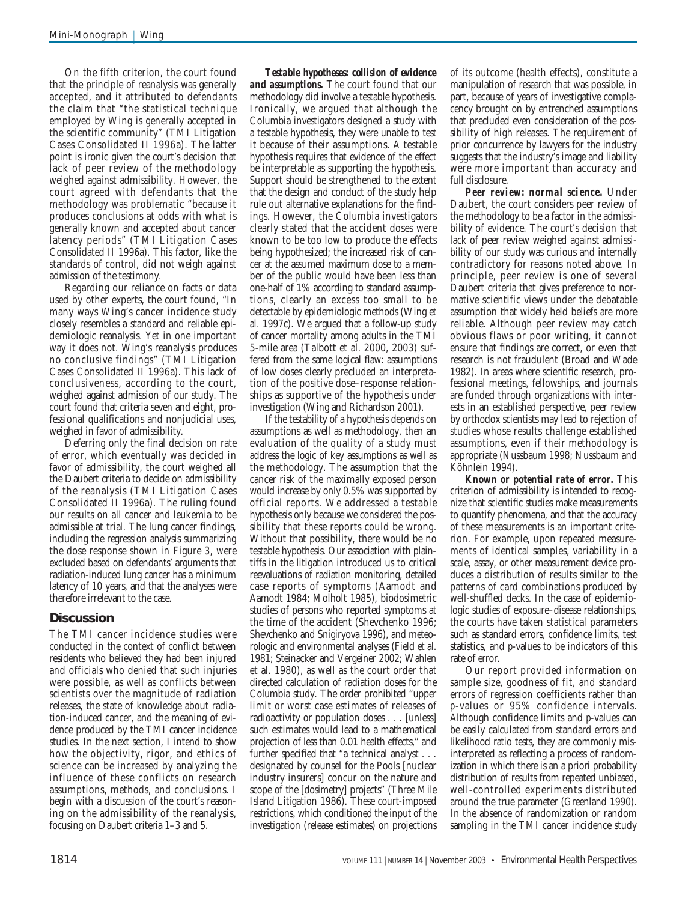On the fifth criterion, the court found that the principle of reanalysis was generally accepted, and it attributed to defendants the claim that "the statistical technique employed by Wing is generally accepted in the scientific community" (TMI Litigation Cases Consolidated II 1996a). The latter point is ironic given the court's decision that lack of peer review of the methodology weighed against admissibility. However, the court agreed with defendants that the methodology was problematic "because it produces conclusions at odds with what is generally known and accepted about cancer latency periods" (TMI Litigation Cases Consolidated II 1996a). This factor, like the standards of control, did not weigh against admission of the testimony.

Regarding our reliance on facts or data used by other experts, the court found, "In many ways Wing's cancer incidence study closely resembles a standard and reliable epidemiologic reanalysis. Yet in one important way it does not. Wing's reanalysis produces no conclusive findings" (TMI Litigation Cases Consolidated II 1996a). This lack of conclusiveness, according to the court, weighed against admission of our study. The court found that criteria seven and eight, professional qualifications and nonjudicial uses, weighed in favor of admissibility.

Deferring only the final decision on rate of error, which eventually was decided in favor of admissibility, the court weighed all the Daubert criteria to decide on admissibility of the reanalysis (TMI Litigation Cases Consolidated II 1996a). The ruling found our results on all cancer and leukemia to be admissible at trial. The lung cancer findings, including the regression analysis summarizing the dose response shown in Figure 3, were excluded based on defendants' arguments that radiation-induced lung cancer has a minimum latency of 10 years, and that the analyses were therefore irrelevant to the case.

## **Discussion**

The TMI cancer incidence studies were conducted in the context of conflict between residents who believed they had been injured and officials who denied that such injuries were possible, as well as conflicts between scientists over the magnitude of radiation releases, the state of knowledge about radiation-induced cancer, and the meaning of evidence produced by the TMI cancer incidence studies. In the next section, I intend to show how the objectivity, rigor, and ethics of science can be increased by analyzing the influence of these conflicts on research assumptions, methods, and conclusions. I begin with a discussion of the court's reasoning on the admissibility of the reanalysis, focusing on Daubert criteria 1–3 and 5.

*Testable hypotheses: collision of evidence and assumptions.* The court found that our methodology did involve a testable hypothesis. Ironically, we argued that although the Columbia investigators designed a study with a testable hypothesis, they were unable to test it because of their assumptions. A testable hypothesis requires that evidence of the effect be interpretable as supporting the hypothesis. Support should be strengthened to the extent that the design and conduct of the study help rule out alternative explanations for the findings. However, the Columbia investigators clearly stated that the accident doses were known to be too low to produce the effects being hypothesized; the increased risk of cancer at the assumed maximum dose to a member of the public would have been less than one-half of 1% according to standard assumptions, clearly an excess too small to be detectable by epidemiologic methods (Wing et al. 1997c). We argued that a follow-up study of cancer mortality among adults in the TMI 5-mile area (Talbott et al. 2000, 2003) suffered from the same logical flaw: assumptions of low doses clearly precluded an interpretation of the positive dose–response relationships as supportive of the hypothesis under investigation (Wing and Richardson 2001).

If the testability of a hypothesis depends on assumptions as well as methodology, then an evaluation of the quality of a study must address the logic of key assumptions as well as the methodology. The assumption that the cancer risk of the maximally exposed person would increase by only 0.5% was supported by official reports. We addressed a testable hypothesis only because we considered the possibility that these reports could be wrong. Without that possibility, there would be no testable hypothesis. Our association with plaintiffs in the litigation introduced us to critical reevaluations of radiation monitoring, detailed case reports of symptoms (Aamodt and Aamodt 1984; Molholt 1985), biodosimetric studies of persons who reported symptoms at the time of the accident (Shevchenko 1996; Shevchenko and Snigiryova 1996), and meteorologic and environmental analyses (Field et al. 1981; Steinacker and Vergeiner 2002; Wahlen et al. 1980), as well as the court order that directed calculation of radiation doses for the Columbia study. The order prohibited "upper limit or worst case estimates of releases of radioactivity or population doses . . . [unless] such estimates would lead to a mathematical projection of less than 0.01 health effects," and further specified that "a technical analyst . . . designated by counsel for the Pools [nuclear industry insurers] concur on the nature and scope of the [dosimetry] projects" (Three Mile Island Litigation 1986). These court-imposed restrictions, which conditioned the input of the investigation (release estimates) on projections of its outcome (health effects), constitute a manipulation of research that was possible, in part, because of years of investigative complacency brought on by entrenched assumptions that precluded even consideration of the possibility of high releases. The requirement of prior concurrence by lawyers for the industry suggests that the industry's image and liability were more important than accuracy and full disclosure.

*Peer review: normal science.* Under Daubert, the court considers peer review of the methodology to be a factor in the admissibility of evidence. The court's decision that lack of peer review weighed against admissibility of our study was curious and internally contradictory for reasons noted above. In principle, peer review is one of several Daubert criteria that gives preference to normative scientific views under the debatable assumption that widely held beliefs are more reliable. Although peer review may catch obvious flaws or poor writing, it cannot ensure that findings are correct, or even that research is not fraudulent (Broad and Wade 1982). In areas where scientific research, professional meetings, fellowships, and journals are funded through organizations with interests in an established perspective, peer review by orthodox scientists may lead to rejection of studies whose results challenge established assumptions, even if their methodology is appropriate (Nussbaum 1998; Nussbaum and Köhnlein 1994).

*Known or potential rate of error.* This criterion of admissibility is intended to recognize that scientific studies make measurements to quantify phenomena, and that the accuracy of these measurements is an important criterion. For example, upon repeated measurements of identical samples, variability in a scale, assay, or other measurement device produces a distribution of results similar to the patterns of card combinations produced by well-shuffled decks. In the case of epidemiologic studies of exposure–disease relationships, the courts have taken statistical parameters such as standard errors, confidence limits, test statistics, and *p*-values to be indicators of this rate of error.

Our report provided information on sample size, goodness of fit, and standard errors of regression coefficients rather than *p*-values or 95% confidence intervals. Although confidence limits and *p*-values can be easily calculated from standard errors and likelihood ratio tests, they are commonly misinterpreted as reflecting a process of randomization in which there is an a priori probability distribution of results from repeated unbiased, well-controlled experiments distributed around the true parameter (Greenland 1990). In the absence of randomization or random sampling in the TMI cancer incidence study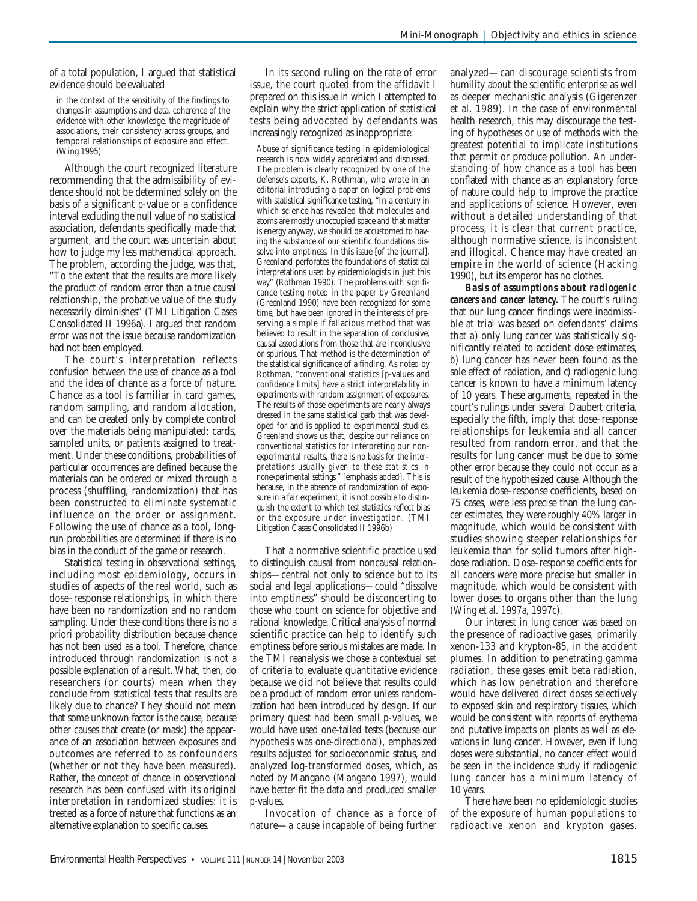of a total population, I argued that statistical evidence should be evaluated

in the context of the sensitivity of the findings to changes in assumptions and data, coherence of the evidence with other knowledge, the magnitude of associations, their consistency across groups, and temporal relationships of exposure and effect. (Wing 1995)

Although the court recognized literature recommending that the admissibility of evidence should not be determined solely on the basis of a significant *p*-value or a confidence interval excluding the null value of no statistical association, defendants specifically made that argument, and the court was uncertain about how to judge my less mathematical approach. The problem, according the judge, was that, "To the extent that the results are more likely the product of random error than a true causal relationship, the probative value of the study necessarily diminishes" (TMI Litigation Cases Consolidated II 1996a). I argued that random error was not the issue because randomization had not been employed.

The court's interpretation reflects confusion between the use of chance as a tool and the idea of chance as a force of nature. Chance as a tool is familiar in card games, random sampling, and random allocation, and can be created only by complete control over the materials being manipulated: cards, sampled units, or patients assigned to treatment. Under these conditions, probabilities of particular occurrences are defined because the materials can be ordered or mixed through a process (shuffling, randomization) that has been constructed to eliminate systematic influence on the order or assignment. Following the use of chance as a tool, longrun probabilities are determined if there is no bias in the conduct of the game or research.

Statistical testing in observational settings, including most epidemiology, occurs in studies of aspects of the real world, such as dose–response relationships, in which there have been no randomization and no random sampling. Under these conditions there is no a priori probability distribution because chance has not been used as a tool. Therefore, chance introduced through randomization is not a possible explanation of a result. What, then, do researchers (or courts) mean when they conclude from statistical tests that results are likely due to chance? They should not mean that some unknown factor is the cause, because other causes that create (or mask) the appearance of an association between exposures and outcomes are referred to as confounders (whether or not they have been measured). Rather, the concept of chance in observational research has been confused with its original interpretation in randomized studies: it is treated as a force of nature that functions as an alternative explanation to specific causes.

In its second ruling on the rate of error issue, the court quoted from the affidavit I prepared on this issue in which I attempted to explain why the strict application of statistical tests being advocated by defendants was increasingly recognized as inappropriate:

Abuse of significance testing in epidemiological research is now widely appreciated and discussed. The problem is clearly recognized by one of the defense's experts, K. Rothman, who wrote in an editorial introducing a paper on logical problems with statistical significance testing, "In a century in which science has revealed that molecules and atoms are mostly unoccupied space and that matter is energy anyway, we should be accustomed to having the substance of our scientific foundations dissolve into emptiness. In this issue [of the journal], Greenland perforates the foundations of statistical interpretations used by epidemiologists in just this way" (Rothman 1990). The problems with significance testing noted in the paper by Greenland (Greenland 1990) have been recognized for some time, but have been ignored in the interests of preserving a simple if fallacious method that was believed to result in the separation of conclusive, causal associations from those that are inconclusive or spurious. That method is the determination of the statistical significance of a finding. As noted by Rothman, "conventional statistics [*p*-values and confidence limits] have a strict interpretability in experiments with random assignment of exposures. The results of those experiments are nearly always dressed in the same statistical garb that was developed for and is applied to experimental studies. Greenland shows us that, despite our reliance on conventional statistics for interpreting our nonexperimental results, *there is no basis for the interpretations usually given to these statistics in nonexperimental settings*." [emphasis added]. This is because, in the absence of randomization of exposure in a fair experiment, it is not possible to distinguish the extent to which test statistics reflect bias or the exposure under investigation. (TMI Litigation Cases Consolidated II 1996b)

That a normative scientific practice used to distinguish causal from noncausal relationships—central not only to science but to its social and legal applications—could "dissolve into emptiness" should be disconcerting to those who count on science for objective and rational knowledge. Critical analysis of normal scientific practice can help to identify such emptiness before serious mistakes are made. In the TMI reanalysis we chose a contextual set of criteria to evaluate quantitative evidence because we did not believe that results could be a product of random error unless randomization had been introduced by design. If our primary quest had been small *p*-values, we would have used one-tailed tests (because our hypothesis was one-directional), emphasized results adjusted for socioeconomic status, and analyzed log-transformed doses, which, as noted by Mangano (Mangano 1997), would have better fit the data and produced smaller *p*-values.

Invocation of chance as a force of nature—a cause incapable of being further

analyzed—can discourage scientists from humility about the scientific enterprise as well as deeper mechanistic analysis (Gigerenzer et al. 1989). In the case of environmental health research, this may discourage the testing of hypotheses or use of methods with the greatest potential to implicate institutions that permit or produce pollution. An understanding of how chance as a tool has been conflated with chance as an explanatory force of nature could help to improve the practice and applications of science. However, even without a detailed understanding of that process, it is clear that current practice, although normative science, is inconsistent and illogical. Chance may have created an empire in the world of science (Hacking 1990), but its emperor has no clothes.

*Basis of assumptions about radiogenic cancers and cancer latency.* The court's ruling that our lung cancer findings were inadmissible at trial was based on defendants' claims that *a*) only lung cancer was statistically significantly related to accident dose estimates, *b*) lung cancer has never been found as the sole effect of radiation, and *c*) radiogenic lung cancer is known to have a minimum latency of 10 years. These arguments, repeated in the court's rulings under several Daubert criteria, especially the fifth, imply that dose–response relationships for leukemia and all cancer resulted from random error, and that the results for lung cancer must be due to some other error because they could not occur as a result of the hypothesized cause. Although the leukemia dose–response coefficients, based on 75 cases, were less precise than the lung cancer estimates, they were roughly 40% larger in magnitude, which would be consistent with studies showing steeper relationships for leukemia than for solid tumors after highdose radiation. Dose–response coefficients for all cancers were more precise but smaller in magnitude, which would be consistent with lower doses to organs other than the lung (Wing et al. 1997a, 1997c).

Our interest in lung cancer was based on the presence of radioactive gases, primarily xenon-133 and krypton-85, in the accident plumes. In addition to penetrating gamma radiation, these gases emit beta radiation, which has low penetration and therefore would have delivered direct doses selectively to exposed skin and respiratory tissues, which would be consistent with reports of erythema and putative impacts on plants as well as elevations in lung cancer. However, even if lung doses were substantial, no cancer effect would be seen in the incidence study if radiogenic lung cancer has a minimum latency of 10 years.

There have been no epidemiologic studies of the exposure of human populations to radioactive xenon and krypton gases.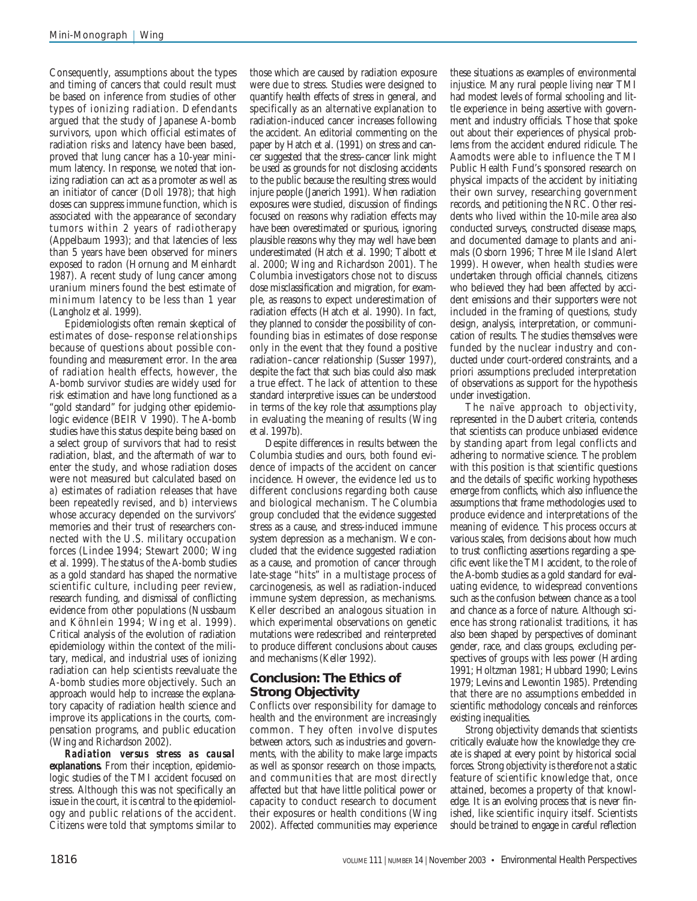Consequently, assumptions about the types and timing of cancers that could result must be based on inference from studies of other types of ionizing radiation. Defendants argued that the study of Japanese A-bomb survivors, upon which official estimates of radiation risks and latency have been based, proved that lung cancer has a 10-year minimum latency. In response, we noted that ionizing radiation can act as a promoter as well as an initiator of cancer (Doll 1978); that high doses can suppress immune function, which is associated with the appearance of secondary tumors within 2 years of radiotherapy (Appelbaum 1993); and that latencies of less than 5 years have been observed for miners exposed to radon (Hornung and Meinhardt 1987). A recent study of lung cancer among uranium miners found the best estimate of minimum latency to be less than 1 year (Langholz et al. 1999).

Epidemiologists often remain skeptical of estimates of dose–response relationships because of questions about possible confounding and measurement error. In the area of radiation health effects, however, the A-bomb survivor studies are widely used for risk estimation and have long functioned as a "gold standard" for judging other epidemiologic evidence (BEIR V 1990). The A-bomb studies have this status despite being based on a select group of survivors that had to resist radiation, blast, and the aftermath of war to enter the study, and whose radiation doses were not measured but calculated based on *a*) estimates of radiation releases that have been repeatedly revised, and *b*) interviews whose accuracy depended on the survivors' memories and their trust of researchers connected with the U.S. military occupation forces (Lindee 1994; Stewart 2000; Wing et al. 1999). The status of the A-bomb studies as a gold standard has shaped the normative scientific culture, including peer review, research funding, and dismissal of conflicting evidence from other populations (Nussbaum and Köhnlein 1994; Wing et al. 1999). Critical analysis of the evolution of radiation epidemiology within the context of the military, medical, and industrial uses of ionizing radiation can help scientists reevaluate the A-bomb studies more objectively. Such an approach would help to increase the explanatory capacity of radiation health science and improve its applications in the courts, compensation programs, and public education (Wing and Richardson 2002).

*Radiation versus stress as causal explanations.* From their inception, epidemiologic studies of the TMI accident focused on stress. Although this was not specifically an issue in the court, it is central to the epidemiology and public relations of the accident. Citizens were told that symptoms similar to those which are caused by radiation exposure were due to stress. Studies were designed to quantify health effects of stress in general, and specifically as an alternative explanation to radiation-induced cancer increases following the accident. An editorial commenting on the paper by Hatch et al. (1991) on stress and cancer suggested that the stress–cancer link might be used as grounds for not disclosing accidents to the public because the resulting stress would injure people (Janerich 1991). When radiation exposures were studied, discussion of findings focused on reasons why radiation effects may have been overestimated or spurious, ignoring plausible reasons why they may well have been underestimated (Hatch et al. 1990; Talbott et al. 2000; Wing and Richardson 2001). The Columbia investigators chose not to discuss dose misclassification and migration, for example, as reasons to expect underestimation of radiation effects (Hatch et al. 1990). In fact, they planned to consider the possibility of confounding bias in estimates of dose response only in the event that they found a positive radiation–cancer relationship (Susser 1997), despite the fact that such bias could also mask a true effect. The lack of attention to these standard interpretive issues can be understood in terms of the key role that assumptions play in evaluating the meaning of results (Wing et al. 1997b).

Despite differences in results between the Columbia studies and ours, both found evidence of impacts of the accident on cancer incidence. However, the evidence led us to different conclusions regarding both cause and biological mechanism. The Columbia group concluded that the evidence suggested stress as a cause, and stress-induced immune system depression as a mechanism. We concluded that the evidence suggested radiation as a cause, and promotion of cancer through late-stage "hits" in a multistage process of carcinogenesis, as well as radiation-induced immune system depression, as mechanisms. Keller described an analogous situation in which experimental observations on genetic mutations were redescribed and reinterpreted to produce different conclusions about causes and mechanisms (Keller 1992).

### **Conclusion: The Ethics of Strong Objectivity**

Conflicts over responsibility for damage to health and the environment are increasingly common. They often involve disputes between actors, such as industries and governments, with the ability to make large impacts as well as sponsor research on those impacts, and communities that are most directly affected but that have little political power or capacity to conduct research to document their exposures or health conditions (Wing 2002). Affected communities may experience

these situations as examples of environmental injustice. Many rural people living near TMI had modest levels of formal schooling and little experience in being assertive with government and industry officials. Those that spoke out about their experiences of physical problems from the accident endured ridicule. The Aamodts were able to influence the TMI Public Health Fund's sponsored research on physical impacts of the accident by initiating their own survey, researching government records, and petitioning the NRC. Other residents who lived within the 10-mile area also conducted surveys, constructed disease maps, and documented damage to plants and animals (Osborn 1996; Three Mile Island Alert 1999). However, when health studies were undertaken through official channels, citizens who believed they had been affected by accident emissions and their supporters were not included in the framing of questions, study design, analysis, interpretation, or communication of results. The studies themselves were funded by the nuclear industry and conducted under court-ordered constraints, and a priori assumptions precluded interpretation of observations as support for the hypothesis under investigation.

The naïve approach to objectivity, represented in the Daubert criteria, contends that scientists can produce unbiased evidence by standing apart from legal conflicts and adhering to normative science. The problem with this position is that scientific questions and the details of specific working hypotheses emerge from conflicts, which also influence the assumptions that frame methodologies used to produce evidence and interpretations of the meaning of evidence. This process occurs at various scales, from decisions about how much to trust conflicting assertions regarding a specific event like the TMI accident, to the role of the A-bomb studies as a gold standard for evaluating evidence, to widespread conventions such as the confusion between chance as a tool and chance as a force of nature. Although science has strong rationalist traditions, it has also been shaped by perspectives of dominant gender, race, and class groups, excluding perspectives of groups with less power (Harding 1991; Holtzman 1981; Hubbard 1990; Levins 1979; Levins and Lewontin 1985). Pretending that there are no assumptions embedded in scientific methodology conceals and reinforces existing inequalities.

Strong objectivity demands that scientists critically evaluate how the knowledge they create is shaped at every point by historical social forces. Strong objectivity is therefore not a static feature of scientific knowledge that, once attained, becomes a property of that knowledge. It is an evolving process that is never finished, like scientific inquiry itself. Scientists should be trained to engage in careful reflection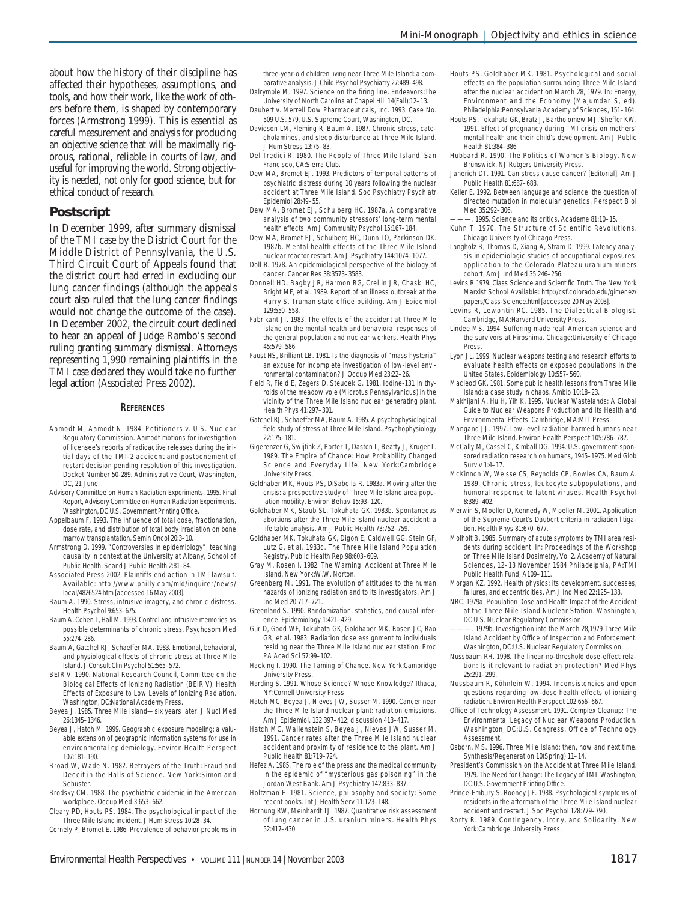about how the history of their discipline has affected their hypotheses, assumptions, and tools, and how their work, like the work of others before them, is shaped by contemporary forces (Armstrong 1999). This is essential as careful measurement and analysis for producing an objective science that will be maximally rigorous, rational, reliable in courts of law, and useful for improving the world. Strong objectivity is needed, not only for good science, but for ethical conduct of research.

#### **Postscript**

In December 1999, after summary dismissal of the TMI case by the District Court for the Middle District of Pennsylvania, the U.S. Third Circuit Court of Appeals found that the district court had erred in excluding our lung cancer findings (although the appeals court also ruled that the lung cancer findings would not change the outcome of the case). In December 2002, the circuit court declined to hear an appeal of Judge Rambo's second ruling granting summary dismissal. Attorneys representing 1,990 remaining plaintiffs in the TMI case declared they would take no further legal action (Associated Press 2002).

#### **REFERENCES**

- Aamodt M, Aamodt N. 1984. Petitioners *v.* U.S. Nuclear Regulatory Commission. Aamodt motions for investigation of licensee's reports of radioactive releases during the initial days of the TMI-2 accident and postponement of restart decision pending resolution of this investigation. Docket Number 50-289. Administrative Court, Washington, DC, 21 June.
- Advisory Committee on Human Radiation Experiments. 1995. Final Report, Advisory Committee on Human Radiation Experiments. Washington, DC:U.S. Government Printing Office.
- Appelbaum F. 1993. The influence of total dose, fractionation, dose rate, and distribution of total body irradiation on bone marrow transplantation. Semin Oncol 20:3–10.
- Armstrong D. 1999. "Controversies in epidemiology", teaching causality in context at the University at Albany, School of Public Health. Scand J Public Health 2:81–84.
- Associated Press 2002. Plaintiffs end action in TMI lawsuit. Available: http://www.philly.com/mld/inquirer/news/ local/4826524.htm [accessed 16 May 2003].
- Baum A. 1990. Stress, intrusive imagery, and chronic distress. Health Psychol 9:653–675.
- Baum A, Cohen L, Hall M. 1993. Control and intrusive memories as possible determinants of chronic stress. Psychosom Med 55:274–286.
- Baum A, Gatchel RJ, Schaeffer MA. 1983. Emotional, behavioral, and physiological effects of chronic stress at Three Mile Island. J Consult Clin Psychol 51:565–572.
- BEIR V. 1990. National Research Council, Committee on the Biological Effects of Ionizing Radiation (BEIR V), Health Effects of Exposure to Low Levels of Ionizing Radiation. Washington, DC:National Academy Press.
- Beyea J. 1985. Three Mile Island—six years later. J Nucl Med 26:1345–1346.
- Beyea J, Hatch M. 1999. Geographic exposure modeling: a valuable extension of geographic information systems for use in environmental epidemiology. Environ Health Perspect 107:181–190.
- Broad W, Wade N. 1982. Betrayers of the Truth: Fraud and Deceit in the Halls of Science. New York:Simon and Schuster.
- Brodsky CM. 1988. The psychiatric epidemic in the American workplace. Occup Med 3:653–662.
- Cleary PD, Houts PS. 1984. The psychological impact of the Three Mile Island incident. J Hum Stress 10:28–34. Cornely P, Bromet E. 1986. Prevalence of behavior problems in

three-year-old children living near Three Mile Island: a comparative analysis. J Child Psychol Psychiatry 27:489–498.

- Dalrymple M. 1997. Science on the firing line. Endeavors:The University of North Carolina at Chapel Hill 14(Fall):12–13.
- Daubert *v.* Merrell Dow Pharmaceuticals, Inc. 1993. Case No. 509 U.S. 579, U.S. Supreme Court, Washington, DC.
- Davidson LM, Fleming R, Baum A. 1987. Chronic stress, catecholamines, and sleep disturbance at Three Mile Island. J Hum Stress 13:75–83.
- Del Tredici R. 1980. The People of Three Mile Island. San Francisco, CA:Sierra Club.
- Dew MA, Bromet EJ. 1993. Predictors of temporal patterns of psychiatric distress during 10 years following the nuclear accident at Three Mile Island. Soc Psychiatry Psychiatr Epidemiol 28:49–55.
- Dew MA, Bromet EJ, Schulberg HC. 1987a. A comparative analysis of two community stressors' long-term mental health effects. Am J Community Psychol 15:167–184.
- Dew MA, Bromet EJ, Schulberg HC, Dunn LO, Parkinson DK. 1987b. Mental health effects of the Three Mile Island nuclear reactor restart. Am J Psychiatry 144:1074–1077.
- Doll R. 1978. An epidemiological perspective of the biology of cancer. Cancer Res 38:3573–3583.
- Donnell HD, Bagby JR, Harmon RG, Crellin JR, Chaski HC, Bright MF, et al. 1989. Report of an illness outbreak at the Harry S. Truman state office building. Am J Epidemiol 129:550–558.
- Fabrikant JI. 1983. The effects of the accident at Three Mile Island on the mental health and behavioral responses of the general population and nuclear workers. Health Phys 45:579–586.
- Faust HS, Brilliant LB. 1981. Is the diagnosis of "mass hysteria" an excuse for incomplete investigation of low-level environmental contamination? J Occup Med 23:22–26.
- Field R, Field E, Zegers D, Steucek G. 1981. Iodine-131 in thyroids of the meadow vole (*Microtus Pennsylvanicus*) in the vicinity of the Three Mile Island nuclear generating plant. Health Phys 41:297–301.
- Gatchel RJ, Schaeffer MA, Baum A. 1985. A psychophysiological field study of stress at Three Mile Island. Psychophysiology 22:175–181.
- Gigerenzer G, Swijtink Z, Porter T, Daston L, Beatty J, Kruger L. 1989. The Empire of Chance: How Probability Changed Science and Everyday Life. New York:Cambridge University Press.
- Goldhaber MK, Houts PS, DiSabella R. 1983a. Moving after the crisis: a prospective study of Three Mile Island area population mobility. Environ Behav 15:93–120.
- Goldhaber MK, Staub SL, Tokuhata GK. 1983b. Spontaneous abortions after the Three Mile Island nuclear accident: a life table analysis. Am J Public Health 73:752–759.
- Goldhaber MK, Tokuhata GK, Digon E, Caldwell GG, Stein GF, Lutz G, et al. 1983c. The Three Mile Island Population Registry. Public Health Rep 98:603–609.
- Gray M, Rosen I. 1982. The Warning: Accident at Three Mile Island. New York:W.W. Norton.
- Greenberg M. 1991. The evolution of attitudes to the human hazards of ionizing radiation and to its investigators. Am J Ind Med 20:717–721.
- Greenland S. 1990. Randomization, statistics, and causal inference. Epidemiology 1:421–429.
- Gur D, Good WF, Tokuhata GK, Goldhaber MK, Rosen JC, Rao GR, et al. 1983. Radiation dose assignment to individuals residing near the Three Mile Island nuclear station. Proc PA Acad Sci 57:99–102.
- Hacking I. 1990. The Taming of Chance. New York:Cambridge University Press.
- Harding S. 1991. Whose Science? Whose Knowledge? Ithaca, NY:Cornell University Press.
- Hatch MC, Beyea J, Nieves JW, Susser M. 1990. Cancer near the Three Mile Island nuclear plant: radiation emissions. Am J Epidemiol. 132:397–412; discussion 413–417.
- Hatch MC, Wallenstein S, Beyea J, Nieves JW, Susser M. 1991. Cancer rates after the Three Mile Island nuclear accident and proximity of residence to the plant. Am J Public Health 81:719–724.
- Hefez A. 1985. The role of the press and the medical community in the epidemic of "mysterious gas poisoning" in the Jordan West Bank. Am J Psychiatry 142:833–837.
- Holtzman E. 1981. Science, philosophy and society: Some recent books. Int J Health Serv 11:123–148.
- Hornung RW, Meinhardt TJ. 1987. Quantitative risk assessment of lung cancer in U.S. uranium miners. Health Phys 52:417–430.
- Houts PS, Goldhaber MK. 1981. Psychological and social effects on the population surrounding Three Mile Island after the nuclear accident on March 28, 1979. In: Energy, Environment and the Economy (Majumdar S, ed). Philadelphia:Pennsylvania Academy of Sciences, 151–164.
- Houts PS, Tokuhata GK, Bratz J, Bartholomew MJ, Sheffer KW. 1991. Effect of pregnancy during TMI crisis on mothers' mental health and their child's development. Am J Public Health 81:384–386.
- Hubbard R. 1990. The Politics of Women's Biology. New Brunswick, NJ:Rutgers University Press.
- Janerich DT. 1991. Can stress cause cancer? [Editorial]. Am J Public Health 81:687–688.
- Keller E. 1992. Between language and science: the question of directed mutation in molecular genetics. Perspect Biol Med 35:292–306.
	- 1995. Science and its critics. Academe 81:10-15.
- Kuhn T. 1970. The Structure of Scientific Revolutions. Chicago:University of Chicago Press.
- Langholz B, Thomas D, Xiang A, Stram D. 1999. Latency analysis in epidemiologic studies of occupational exposures: application to the Colorado Plateau uranium miners cohort. Am J Ind Med 35:246–256.
- Levins R 1979. Class Science and Scientific Truth. The New York Marxist School Available: http://csf.colorado.edu/gimenez/ papers/Class-Science.html [accessed 20 May 2003].
- Levins R, Lewontin RC. 1985. The Dialectical Biologist. Cambridge, MA:Harvard University Press.
- Lindee MS. 1994. Suffering made real: American science and the survivors at Hiroshima. Chicago:University of Chicago Press.
- Lyon JL. 1999. Nuclear weapons testing and research efforts to evaluate health effects on exposed populations in the United States. Epidemiology 10:557–560.
- Macleod GK. 1981. Some public health lessons from Three Mile Island: a case study in chaos. Ambio 10:18–23.
- Makhijani A, Hu H, Yih K. 1995. Nuclear Wastelands: A Global Guide to Nuclear Weapons Production and Its Health and Environmental Effects. Cambridge, MA:MIT Press.
- Mangano JJ. 1997. Low-level radiation harmed humans near Three Mile Island. Environ Health Perspect 105:786–787.
- McCally M, Cassel C, Kimball DG. 1994. U.S. government-sponsored radiation research on humans, 1945–1975. Med Glob Surviv 1:4–17.
- McKinnon W, Weisse CS, Reynolds CP, Bowles CA, Baum A. 1989. Chronic stress, leukocyte subpopulations, and humoral response to latent viruses. Health Psychol 8:389–402.
- Merwin S, Moeller D, Kennedy W, Moeller M. 2001. Application of the Supreme Court's Daubert criteria in radiation litigation. Health Phys 81:670–677.
- Molholt B. 1985. Summary of acute symptoms by TMI area residents during accident. In: Proceedings of the Workshop on Three Mile Island Dosimetry, Vol 2. Academy of Natural Sciences, 12–13 November 1984 Philadelphia, PA:TMI Public Health Fund, A109–111.
- Morgan KZ. 1992. Health physics: its development, successes, failures, and eccentricities. Am J Ind Med 22:125–133.
- NRC. 1979a. Population Dose and Health Impact of the Accident at the Three Mile Island Nuclear Station. Washington, DC:U.S. Nuclear Regulatory Commission.
- ———. 1979b. Investigation into the March 28,1979 Three Mile Island Accident by Office of Inspection and Enforcement. Washington, DC:U.S. Nuclear Regulatory Commission.
- Nussbaum RH. 1998. The linear no-threshold dose-effect relation: Is it relevant to radiation protection? Med Phys 25:291–299.
- Nussbaum R, Köhnlein W. 1994. Inconsistencies and open questions regarding low-dose health effects of ionizing radiation. Environ Health Perspect 102:656–667.
- Office of Technology Assessment. 1991. Complex Cleanup: The Environmental Legacy of Nuclear Weapons Production. Washington, DC:U.S. Congress, Office of Technology **Assessment**
- Osborn, MS. 1996. Three Mile Island: then, now and next time. Synthesis/Regeneration 10(Spring):11–14.
- President's Commission on the Accident at Three Mile Island. 1979. The Need for Change: The Legacy of TMI. Washington, DC:U.S. Government Printing Office.
- Prince-Embury S, Rooney JF. 1988. Psychological symptoms of residents in the aftermath of the Three Mile Island nuclear accident and restart. J Soc Psychol 128:779–790.
- Rorty R. 1989. Contingency, Irony, and Solidarity. New York:Cambridge University Press.